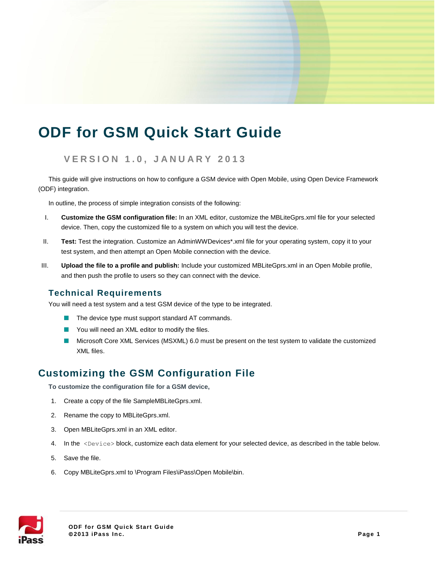# **ODF for GSM Quick Start Guide**

## **V E R S I O N 1 . 0 , J A N U A R Y 2 0 1 3**

This guide will give instructions on how to configure a GSM device with Open Mobile, using Open Device Framework (ODF) integration.

In outline, the process of simple integration consists of the following:

- I. **Customize the GSM configuration file:** In an XML editor, customize the MBLiteGprs.xml file for your selected device. Then, copy the customized file to a system on which you will test the device.
- II. **Test:** Test the integration. Customize an AdminWWDevices\*.xml file for your operating system, copy it to your test system, and then attempt an Open Mobile connection with the device.
- III. **Upload the file to a profile and publish:** Include your customized MBLiteGprs.xml in an Open Mobile profile, and then push the profile to users so they can connect with the device.

### **Technical Requirements**

You will need a test system and a test GSM device of the type to be integrated.

- $\blacksquare$  The device type must support standard AT commands.
- $\mathcal{L}_{\mathcal{A}}$ You will need an XML editor to modify the files.
- $\overline{\phantom{a}}$ Microsoft Core XML Services (MSXML) 6.0 must be present on the test system to validate the customized XML files.

# **Customizing the GSM Configuration File**

**To customize the configuration file for a GSM device,**

- 1. Create a copy of the file SampleMBLiteGprs.xml.
- 2. Rename the copy to MBLiteGprs.xml.
- 3. Open MBLiteGprs.xml in an XML editor.
- 4. In the <Device> block, customize each data element for your selected device, as described in the table below.
- 5. Save the file.
- 6. Copy MBLiteGprs.xml to \Program Files\iPass\Open Mobile\bin.

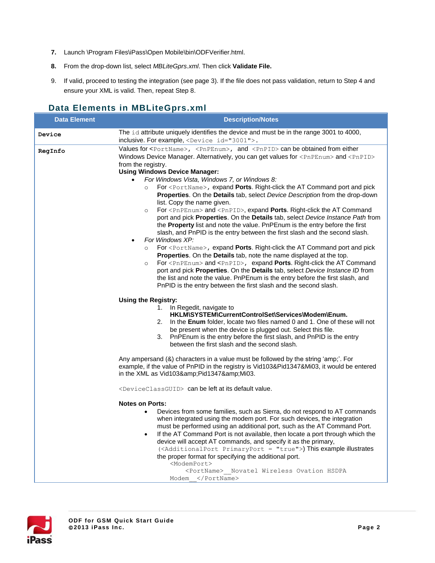- **7.** Launch \Program Files\iPass\Open Mobile\bin\ODFVerifier.html.
- **8.** From the drop-down list, select *MBLiteGprs.xml*. Then click **Validate File.**
- 9. If valid, proceed to testing the integration (see page 3). If the file does not pass validation, return to Step 4 and ensure your XML is valid. Then, repeat Step 8.

## **Data Elements in MBLiteGprs.xml**

| <b>Data Element</b> | <b>Description/Notes</b>                                                                                                                                                                                                                                                                                                                                                                                                                                                                                                                                                                                                                                                                                                                                                                                                                                                                                                                                                                                                                                                                                                                                                                                                                                                                                                                                                                                                                                                                                                                          |
|---------------------|---------------------------------------------------------------------------------------------------------------------------------------------------------------------------------------------------------------------------------------------------------------------------------------------------------------------------------------------------------------------------------------------------------------------------------------------------------------------------------------------------------------------------------------------------------------------------------------------------------------------------------------------------------------------------------------------------------------------------------------------------------------------------------------------------------------------------------------------------------------------------------------------------------------------------------------------------------------------------------------------------------------------------------------------------------------------------------------------------------------------------------------------------------------------------------------------------------------------------------------------------------------------------------------------------------------------------------------------------------------------------------------------------------------------------------------------------------------------------------------------------------------------------------------------------|
| Device              | The id attribute uniquely identifies the device and must be in the range 3001 to 4000,<br>inclusive. For example, <device id="3001">.</device>                                                                                                                                                                                                                                                                                                                                                                                                                                                                                                                                                                                                                                                                                                                                                                                                                                                                                                                                                                                                                                                                                                                                                                                                                                                                                                                                                                                                    |
| RegInfo             | Values for $\langle$ PortName>, $\langle$ PnPEnum>, and $\langle$ PnPID> can be obtained from either<br>Windows Device Manager. Alternatively, you can get values for <pnpenum> and <pnpid><br/>from the registry.<br/><b>Using Windows Device Manager:</b><br/>For Windows Vista, Windows 7, or Windows 8:<br/>For <portname>, expand Ports. Right-click the AT Command port and pick<br/><math>\circ</math><br/>Properties. On the Details tab, select Device Description from the drop-down<br/>list. Copy the name given.<br/>For <pnpenum> and <pnpid>, expand <b>Ports</b>. Right-click the AT Command<br/><math>\circ</math><br/>port and pick <b>Properties</b>. On the <b>Details</b> tab, select <i>Device Instance Path</i> from<br/>the Property list and note the value. PnPEnum is the entry before the first<br/>slash, and PnPID is the entry between the first slash and the second slash.<br/>For Windows XP:<br/>For <portname>, expand Ports. Right-click the AT Command port and pick<br/><math>\circ</math><br/>Properties. On the Details tab, note the name displayed at the top.<br/>For <pnpenum> and <pnpid>, expand Ports. Right-click the AT Command<br/><math>\circ</math><br/>port and pick <b>Properties</b>. On the <b>Details</b> tab, select <i>Device Instance ID</i> from<br/>the list and note the value. PnPEnum is the entry before the first slash, and<br/>PnPID is the entry between the first slash and the second slash.</pnpid></pnpenum></portname></pnpid></pnpenum></portname></pnpid></pnpenum> |
|                     | <b>Using the Registry:</b><br>1. In Regedit, navigate to<br>HKLM\SYSTEM\CurrentControlSet\Services\Modem\Enum.<br>2. In the <b>Enum</b> folder, locate two files named 0 and 1. One of these will not<br>be present when the device is plugged out. Select this file.<br>3. PnPEnum is the entry before the first slash, and PnPID is the entry<br>between the first slash and the second slash.<br>Any ampersand (&) characters in a value must be followed by the string 'amp;'. For<br>example, if the value of PnPID in the registry is Vid103&Pid1347&Mi03, it would be entered<br>in the XML as Vid103&Pid1347&Mi03.                                                                                                                                                                                                                                                                                                                                                                                                                                                                                                                                                                                                                                                                                                                                                                                                                                                                                                                        |
|                     | <deviceclassguid> can be left at its default value.</deviceclassguid>                                                                                                                                                                                                                                                                                                                                                                                                                                                                                                                                                                                                                                                                                                                                                                                                                                                                                                                                                                                                                                                                                                                                                                                                                                                                                                                                                                                                                                                                             |
|                     | <b>Notes on Ports:</b><br>Devices from some families, such as Sierra, do not respond to AT commands<br>$\bullet$<br>when integrated using the modem port. For such devices, the integration<br>must be performed using an additional port, such as the AT Command Port.<br>If the AT Command Port is not available, then locate a port through which the<br>$\bullet$<br>device will accept AT commands, and specify it as the primary,<br>( <additionalport primaryport="true">) This example illustrates<br/>the proper format for specifying the additional port.<br/><modemport><br/><portname> Novatel Wireless Ovation HSDPA<br/>Modem </portname></modemport></additionalport>                                                                                                                                                                                                                                                                                                                                                                                                                                                                                                                                                                                                                                                                                                                                                                                                                                                             |

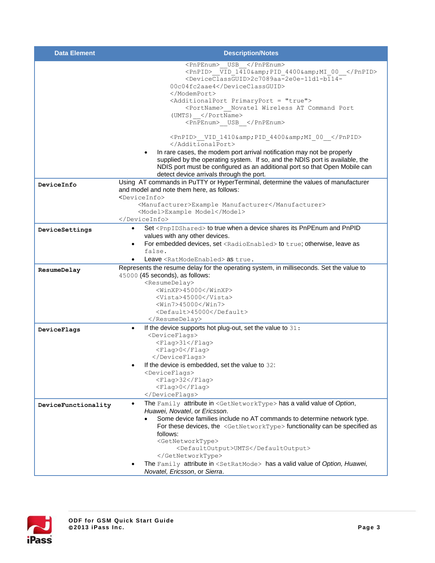| <b>Data Element</b> | <b>Description/Notes</b>                                                                                                                                                                                                                                                                                                                                                                                                                                                                                                        |
|---------------------|---------------------------------------------------------------------------------------------------------------------------------------------------------------------------------------------------------------------------------------------------------------------------------------------------------------------------------------------------------------------------------------------------------------------------------------------------------------------------------------------------------------------------------|
|                     | <pnpenum> USB </pnpenum><br><pnpid> VID 1410&amp; PID 4400&amp; MI 00 </pnpid><br><deviceclassguid>2c7089aa-2e0e-11d1-b114-<br/>00c04fc2aae4</deviceclassguid><br><br><additionalport primaryport="true"><br/><portname> Novatel Wireless AT Command Port<br/>(UMTS) </portname><br/><pnpenum> USB </pnpenum></additionalport>                                                                                                                                                                                                  |
|                     | <pnpid> VID 1410&amp; PID 4400&amp; MI 00 </pnpid><br><br>In rare cases, the modem port arrival notification may not be properly<br>$\bullet$<br>supplied by the operating system. If so, and the NDIS port is available, the<br>NDIS port must be configured as an additional port so that Open Mobile can<br>detect device arrivals through the port.                                                                                                                                                                         |
| DeviceInfo          | Using AT commands in PuTTY or HyperTerminal, determine the values of manufacturer<br>and model and note them here, as follows:<br><deviceinfo><br/><manufacturer>Example Manufacturer</manufacturer><br/><model>Example Model</model><br/></deviceinfo>                                                                                                                                                                                                                                                                         |
| DeviceSettings      | Set <pnpidshared> to true when a device shares its PnPEnum and PnPID<br/>values with any other devices.<br/>For embedded devices, set <radioenabled> to true; otherwise, leave as<br/><math display="inline">\bullet</math><br/>false.<br/>Leave <ratmodeenabled> as true.</ratmodeenabled></radioenabled></pnpidshared>                                                                                                                                                                                                        |
| ResumeDelay         | Represents the resume delay for the operating system, in milliseconds. Set the value to<br>45000 (45 seconds), as follows:<br><resumedelay><br/><winxp>45000</winxp><br/><vista>45000</vista><br/><win7>45000</win7><br/><default>45000</default><br/></resumedelay>                                                                                                                                                                                                                                                            |
| DeviceFlags         | If the device supports hot plug-out, set the value to 31:<br>$\bullet$<br><deviceflags><br/><flag>31</flag><br/><flag>0</flag><br/></deviceflags><br>If the device is embedded, set the value to 32:<br><deviceflags><br/><math>&lt;</math>Flag&gt;32<br/><flag>0</flag><br/></deviceflags>                                                                                                                                                                                                                                     |
| DeviceFunctionality | The Family attribute in <getnetworktype> has a valid value of Option,<br/>Huawei, Novatel, or Ericsson.<br/>Some device families include no AT commands to determine network type.<br/>For these devices, the <getnetworktype> functionality can be specified as<br/>follows:<br/><getnetworktype><br/><defaultoutput>UMTS</defaultoutput><br/></getnetworktype><br/>The Family attribute in <setratmode> has a valid value of Option, Huawei,<br/>Novatel, Ericsson, or Sierra.</setratmode></getnetworktype></getnetworktype> |

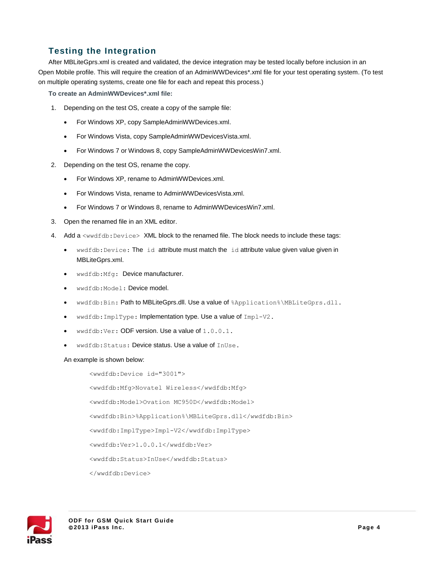## **Testing the Integration**

After MBLiteGprs.xml is created and validated, the device integration may be tested locally before inclusion in an Open Mobile profile. This will require the creation of an AdminWWDevices\*.xml file for your test operating system. (To test on multiple operating systems, create one file for each and repeat this process.)

**To create an AdminWWDevices\*.xml file:**

- 1. Depending on the test OS, create a copy of the sample file:
	- For Windows XP, copy SampleAdminWWDevices.xml.
	- For Windows Vista, copy SampleAdminWWDevicesVista.xml.
	- For Windows 7 or Windows 8, copy SampleAdminWWDevicesWin7.xml.
- 2. Depending on the test OS, rename the copy.
	- For Windows XP, rename to AdminWWDevices.xml.
	- For Windows Vista, rename to AdminWWDevicesVista.xml.
	- For Windows 7 or Windows 8, rename to AdminWWDevicesWin7.xml.
- 3. Open the renamed file in an XML editor.
- 4. Add a <wwdfdb:Device> XML block to the renamed file. The block needs to include these tags:
	- wwdfdb:Device: The id attribute must match the id attribute value given value given in MBLiteGprs.xml.
	- wwdfdb:Mfg: Device manufacturer.
	- wwdfdb:Model: Device model.
	- wwdfdb:Bin: Path to MBLiteGprs.dll. Use a value of %Application%\MBLiteGprs.dll.
	- wwdfdb: ImplType: Implementation type. Use a value of Impl-V2.
	- $\bullet$  wwdfdb:Ver: ODF version. Use a value of  $1.0.0.1$ .
	- wwdfdb:Status: Device status. Use a value of InUse.

#### An example is shown below:

<wwdfdb:Device id="3001"> <wwdfdb:Mfg>Novatel Wireless</wwdfdb:Mfg> <wwdfdb:Model>Ovation MC950D</wwdfdb:Model> <wwdfdb:Bin>%Application%\MBLiteGprs.dll</wwdfdb:Bin> <wwdfdb:ImplType>Impl-V2</wwdfdb:ImplType> <wwdfdb:Ver>1.0.0.1</wwdfdb:Ver> <wwdfdb:Status>InUse</wwdfdb:Status> </wwdfdb:Device>

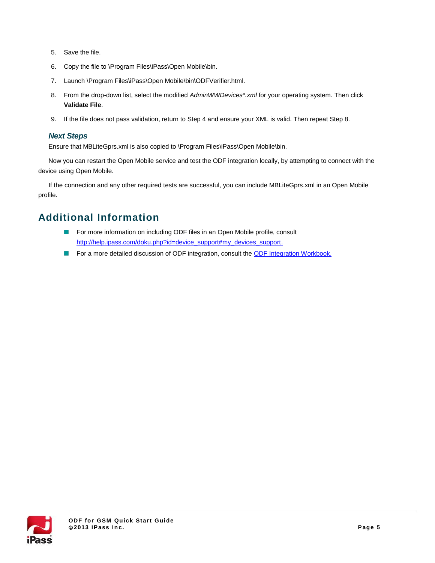- 5. Save the file.
- 6. Copy the file to \Program Files\iPass\Open Mobile\bin.
- 7. Launch \Program Files\iPass\Open Mobile\bin\ODFVerifier.html.
- 8. From the drop-down list, select the modified *AdminWWDevices\*.xml* for your operating system. Then click **Validate File**.
- 9. If the file does not pass validation, return to Step 4 and ensure your XML is valid. Then repeat Step 8.

#### *Next Steps*

Ensure that MBLiteGprs.xml is also copied to \Program Files\iPass\Open Mobile\bin.

Now you can restart the Open Mobile service and test the ODF integration locally, by attempting to connect with the device using Open Mobile.

If the connection and any other required tests are successful, you can include MBLiteGprs.xml in an Open Mobile profile.

## **Additional Information**

- $\mathcal{L}_{\mathcal{A}}$ For more information on including ODF files in an Open Mobile profile, consult [http://help.ipass.com/doku.php?id=device\\_support#my\\_devices\\_support.](http://help.ipass.com/doku.php?id=device_support%23my_devices_support)
- $\mathcal{L}_{\mathcal{A}}$ For a more detailed discussion of ODF integration, consult the [ODF Integration Workbook.](http://help-staging.ipass.com/lib/exe/fetch.php?media=odf_training_workbook.pdf)